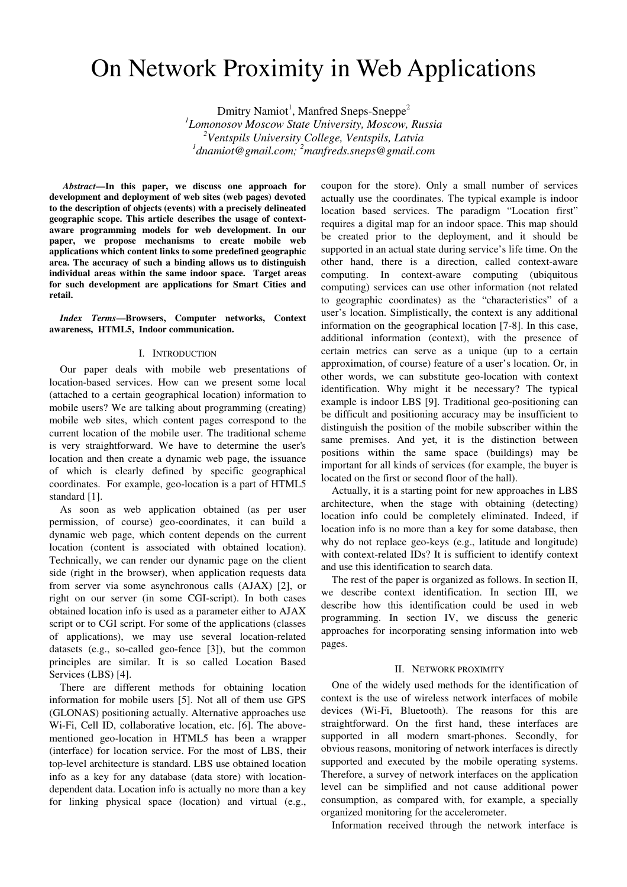# On Network Proximity in Web Applications

Dmitry Namiot<sup>1</sup>, Manfred Sneps-Sneppe<sup>2</sup>

*1 Lomonosov Moscow State University, Moscow, Russia <sup>2</sup>Ventspils University College, Ventspils, Latvia 1 dnamiot@gmail.com; <sup>2</sup>manfreds.sneps@gmail.com* 

*<sup>1</sup>Abstract***—In this paper, we discuss one approach for development and deployment of web sites (web pages) devoted to the description of objects (events) with a precisely delineated geographic scope. This article describes the usage of contextaware programming models for web development. In our paper, we propose mechanisms to create mobile web applications which content links to some predefined geographic area. The accuracy of such a binding allows us to distinguish individual areas within the same indoor space. Target areas for such development are applications for Smart Cities and retail.** 

*Index Terms***—Browsers, Computer networks, Context awareness, HTML5, Indoor communication.** 

## I. INTRODUCTION

Our paper deals with mobile web presentations of location-based services. How can we present some local (attached to a certain geographical location) information to mobile users? We are talking about programming (creating) mobile web sites, which content pages correspond to the current location of the mobile user. The traditional scheme is very straightforward. We have to determine the user's location and then create a dynamic web page, the issuance of which is clearly defined by specific geographical coordinates. For example, geo-location is a part of HTML5 standard [1].

As soon as web application obtained (as per user permission, of course) geo-coordinates, it can build a dynamic web page, which content depends on the current location (content is associated with obtained location). Technically, we can render our dynamic page on the client side (right in the browser), when application requests data from server via some asynchronous calls (AJAX) [2], or right on our server (in some CGI-script). In both cases obtained location info is used as a parameter either to AJAX script or to CGI script. For some of the applications (classes of applications), we may use several location-related datasets (e.g., so-called geo-fence [3]), but the common principles are similar. It is so called Location Based Services (LBS) [4].

There are different methods for obtaining location information for mobile users [5]. Not all of them use GPS (GLONAS) positioning actually. Alternative approaches use Wi-Fi, Cell ID, collaborative location, etc. [6]. The abovementioned geo-location in HTML5 has been a wrapper (interface) for location service. For the most of LBS, their top-level architecture is standard. LBS use obtained location info as a key for any database (data store) with locationdependent data. Location info is actually no more than a key for linking physical space (location) and virtual (e.g., coupon for the store). Only a small number of services actually use the coordinates. The typical example is indoor location based services. The paradigm "Location first" requires a digital map for an indoor space. This map should be created prior to the deployment, and it should be supported in an actual state during service's life time. On the other hand, there is a direction, called context-aware computing. In context-aware computing (ubiquitous computing) services can use other information (not related to geographic coordinates) as the "characteristics" of a user's location. Simplistically, the context is any additional information on the geographical location [7-8]. In this case, additional information (context), with the presence of certain metrics can serve as a unique (up to a certain approximation, of course) feature of a user's location. Or, in other words, we can substitute geo-location with context identification. Why might it be necessary? The typical example is indoor LBS [9]. Traditional geo-positioning can be difficult and positioning accuracy may be insufficient to distinguish the position of the mobile subscriber within the same premises. And yet, it is the distinction between positions within the same space (buildings) may be important for all kinds of services (for example, the buyer is located on the first or second floor of the hall).

Actually, it is a starting point for new approaches in LBS architecture, when the stage with obtaining (detecting) location info could be completely eliminated. Indeed, if location info is no more than a key for some database, then why do not replace geo-keys (e.g., latitude and longitude) with context-related IDs? It is sufficient to identify context and use this identification to search data.

The rest of the paper is organized as follows. In section II, we describe context identification. In section III, we describe how this identification could be used in web programming. In section IV, we discuss the generic approaches for incorporating sensing information into web pages.

# II. NETWORK PROXIMITY

One of the widely used methods for the identification of context is the use of wireless network interfaces of mobile devices (Wi-Fi, Bluetooth). The reasons for this are straightforward. On the first hand, these interfaces are supported in all modern smart-phones. Secondly, for obvious reasons, monitoring of network interfaces is directly supported and executed by the mobile operating systems. Therefore, a survey of network interfaces on the application level can be simplified and not cause additional power consumption, as compared with, for example, a specially organized monitoring for the accelerometer.

Information received through the network interface is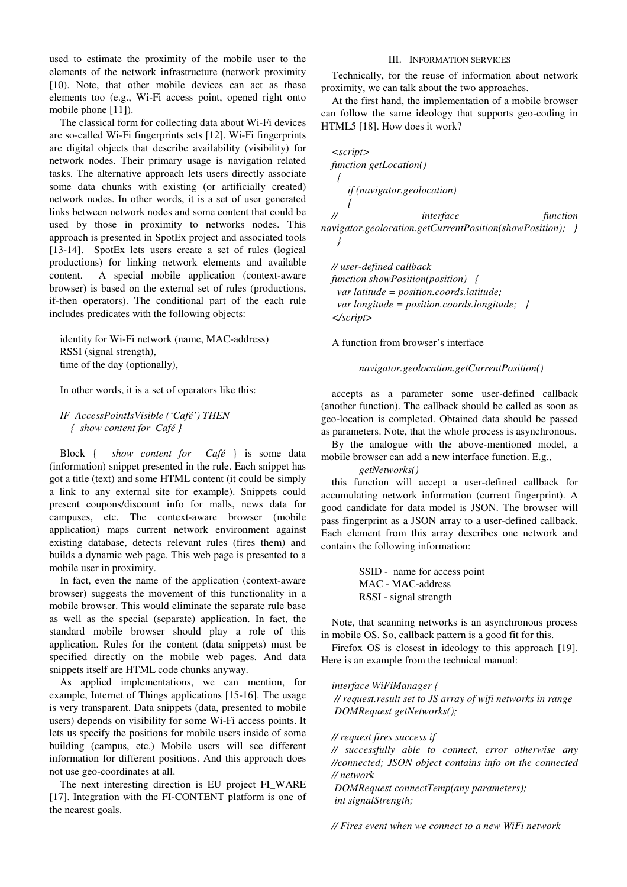used to estimate the proximity of the mobile user to the elements of the network infrastructure (network proximity [10). Note, that other mobile devices can act as these elements too (e.g., Wi-Fi access point, opened right onto mobile phone [11]).

The classical form for collecting data about Wi-Fi devices are so-called Wi-Fi fingerprints sets [12]. Wi-Fi fingerprints are digital objects that describe availability (visibility) for network nodes. Their primary usage is navigation related tasks. The alternative approach lets users directly associate some data chunks with existing (or artificially created) network nodes. In other words, it is a set of user generated links between network nodes and some content that could be used by those in proximity to networks nodes. This approach is presented in SpotEx project and associated tools [13-14]. SpotEx lets users create a set of rules (logical productions) for linking network elements and available content. A special mobile application (context-aware browser) is based on the external set of rules (productions, if-then operators). The conditional part of the each rule includes predicates with the following objects:

identity for Wi-Fi network (name, MAC-address) RSSI (signal strength), time of the day (optionally),

In other words, it is a set of operators like this:

*IF AccessPointIsVisible ('Café') THEN { show content for Café }* 

Block { *show content for Café* } is some data (information) snippet presented in the rule. Each snippet has got a title (text) and some HTML content (it could be simply a link to any external site for example). Snippets could present coupons/discount info for malls, news data for campuses, etc. The context-aware browser (mobile application) maps current network environment against existing database, detects relevant rules (fires them) and builds a dynamic web page. This web page is presented to a mobile user in proximity.

In fact, even the name of the application (context-aware browser) suggests the movement of this functionality in a mobile browser. This would eliminate the separate rule base as well as the special (separate) application. In fact, the standard mobile browser should play a role of this application. Rules for the content (data snippets) must be specified directly on the mobile web pages. And data snippets itself are HTML code chunks anyway.

As applied implementations, we can mention, for example, Internet of Things applications [15-16]. The usage is very transparent. Data snippets (data, presented to mobile users) depends on visibility for some Wi-Fi access points. It lets us specify the positions for mobile users inside of some building (campus, etc.) Mobile users will see different information for different positions. And this approach does not use geo-coordinates at all.

The next interesting direction is EU project FI\_WARE [17]. Integration with the FI-CONTENT platform is one of the nearest goals.

## III. INFORMATION SERVICES

Technically, for the reuse of information about network proximity, we can talk about the two approaches.

At the first hand, the implementation of a mobile browser can follow the same ideology that supports geo-coding in HTML5 [18]. How does it work?

*<script> function getLocation() { if (navigator.geolocation) { // interface function navigator.geolocation.getCurrentPosition(showPosition); } }* 

*// user-defined callback function showPosition(position) { var latitude = position.coords.latitude; var longitude = position.coords.longitude; } </script>* 

A function from browser's interface

*navigator.geolocation.getCurrentPosition()* 

accepts as a parameter some user-defined callback (another function). The callback should be called as soon as geo-location is completed. Obtained data should be passed as parameters. Note, that the whole process is asynchronous.

By the analogue with the above-mentioned model, a mobile browser can add a new interface function. E.g.,

*getNetworks()* 

this function will accept a user-defined callback for accumulating network information (current fingerprint). A good candidate for data model is JSON. The browser will pass fingerprint as a JSON array to a user-defined callback. Each element from this array describes one network and contains the following information:

> SSID - name for access point MAC - MAC-address RSSI - signal strength

Note, that scanning networks is an asynchronous process in mobile OS. So, callback pattern is a good fit for this.

Firefox OS is closest in ideology to this approach [19]. Here is an example from the technical manual:

*interface WiFiManager {* 

 *// request.result set to JS array of wifi networks in range DOMRequest getNetworks();* 

*// request fires success if* 

*// successfully able to connect, error otherwise any //connected; JSON object contains info on the connected // network* 

 *DOMRequest connectTemp(any parameters); int signalStrength;* 

*// Fires event when we connect to a new WiFi network*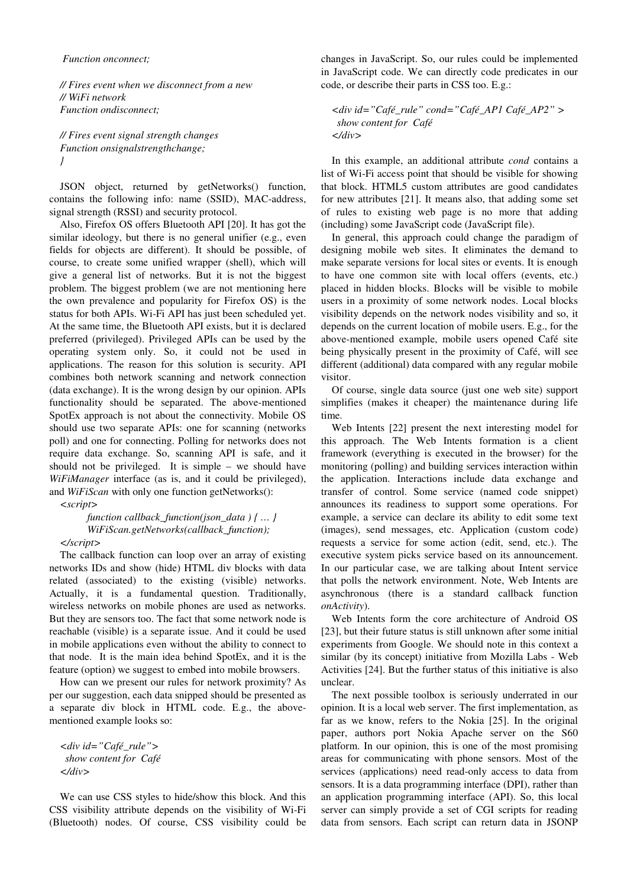### *Function onconnect;*

*// Fires event when we disconnect from a new // WiFi network Function ondisconnect;* 

*// Fires event signal strength changes Function onsignalstrengthchange; }* 

JSON object, returned by getNetworks() function, contains the following info: name (SSID), MAC-address, signal strength (RSSI) and security protocol.

Also, Firefox OS offers Bluetooth API [20]. It has got the similar ideology, but there is no general unifier (e.g., even fields for objects are different). It should be possible, of course, to create some unified wrapper (shell), which will give a general list of networks. But it is not the biggest problem. The biggest problem (we are not mentioning here the own prevalence and popularity for Firefox OS) is the status for both APIs. Wi-Fi API has just been scheduled yet. At the same time, the Bluetooth API exists, but it is declared preferred (privileged). Privileged APIs can be used by the operating system only. So, it could not be used in applications. The reason for this solution is security. API combines both network scanning and network connection (data exchange). It is the wrong design by our opinion. APIs functionality should be separated. The above-mentioned SpotEx approach is not about the connectivity. Mobile OS should use two separate APIs: one for scanning (networks poll) and one for connecting. Polling for networks does not require data exchange. So, scanning API is safe, and it should not be privileged. It is simple – we should have *WiFiManager* interface (as is, and it could be privileged), and *WiFiScan* with only one function getNetworks():

*<script>* 

*function callback\_function(json\_data ) { … } WiFiScan.getNetworks(callback\_function); </script>*

The callback function can loop over an array of existing networks IDs and show (hide) HTML div blocks with data related (associated) to the existing (visible) networks. Actually, it is a fundamental question. Traditionally, wireless networks on mobile phones are used as networks. But they are sensors too. The fact that some network node is reachable (visible) is a separate issue. And it could be used in mobile applications even without the ability to connect to that node. It is the main idea behind SpotEx, and it is the feature (option) we suggest to embed into mobile browsers.

How can we present our rules for network proximity? As per our suggestion, each data snipped should be presented as a separate div block in HTML code. E.g., the abovementioned example looks so:

*<div id="Café\_rule"> show content for Café </div>* 

We can use CSS styles to hide/show this block. And this CSS visibility attribute depends on the visibility of Wi-Fi (Bluetooth) nodes. Of course, CSS visibility could be

changes in JavaScript. So, our rules could be implemented in JavaScript code. We can directly code predicates in our code, or describe their parts in CSS too. E.g.:

*<div id="Café\_rule" cond="Café\_AP1 Café\_AP2" > show content for Café </div>* 

In this example, an additional attribute *cond* contains a list of Wi-Fi access point that should be visible for showing that block. HTML5 custom attributes are good candidates for new attributes [21]. It means also, that adding some set of rules to existing web page is no more that adding (including) some JavaScript code (JavaScript file).

In general, this approach could change the paradigm of designing mobile web sites. It eliminates the demand to make separate versions for local sites or events. It is enough to have one common site with local offers (events, etc.) placed in hidden blocks. Blocks will be visible to mobile users in a proximity of some network nodes. Local blocks visibility depends on the network nodes visibility and so, it depends on the current location of mobile users. E.g., for the above-mentioned example, mobile users opened Café site being physically present in the proximity of Café, will see different (additional) data compared with any regular mobile visitor.

Of course, single data source (just one web site) support simplifies (makes it cheaper) the maintenance during life time.

Web Intents [22] present the next interesting model for this approach. The Web Intents formation is a client framework (everything is executed in the browser) for the monitoring (polling) and building services interaction within the application. Interactions include data exchange and transfer of control. Some service (named code snippet) announces its readiness to support some operations. For example, a service can declare its ability to edit some text (images), send messages, etc. Application (custom code) requests a service for some action (edit, send, etc.). The executive system picks service based on its announcement. In our particular case, we are talking about Intent service that polls the network environment. Note, Web Intents are asynchronous (there is a standard callback function *onActivity*).

Web Intents form the core architecture of Android OS [23], but their future status is still unknown after some initial experiments from Google. We should note in this context a similar (by its concept) initiative from Mozilla Labs - Web Activities [24]. But the further status of this initiative is also unclear.

The next possible toolbox is seriously underrated in our opinion. It is a local web server. The first implementation, as far as we know, refers to the Nokia [25]. In the original paper, authors port Nokia Apache server on the S60 platform. In our opinion, this is one of the most promising areas for communicating with phone sensors. Most of the services (applications) need read-only access to data from sensors. It is a data programming interface (DPI), rather than an application programming interface (API). So, this local server can simply provide a set of CGI scripts for reading data from sensors. Each script can return data in JSONP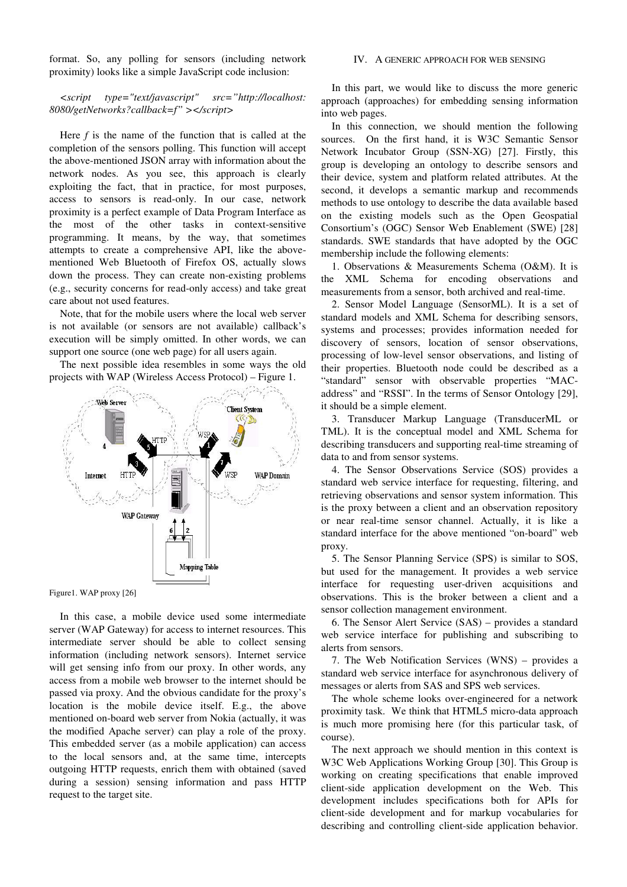format. So, any polling for sensors (including network proximity) looks like a simple JavaScript code inclusion:

*<script type="text/javascript" src="http://localhost: 8080/getNetworks?callback=f" ></script>* 

Here *f* is the name of the function that is called at the completion of the sensors polling. This function will accept the above-mentioned JSON array with information about the network nodes. As you see, this approach is clearly exploiting the fact, that in practice, for most purposes, access to sensors is read-only. In our case, network proximity is a perfect example of Data Program Interface as the most of the other tasks in context-sensitive programming. It means, by the way, that sometimes attempts to create a comprehensive API, like the abovementioned Web Bluetooth of Firefox OS, actually slows down the process. They can create non-existing problems (e.g., security concerns for read-only access) and take great care about not used features.

Note, that for the mobile users where the local web server is not available (or sensors are not available) callback's execution will be simply omitted. In other words, we can support one source (one web page) for all users again.

The next possible idea resembles in some ways the old projects with WAP (Wireless Access Protocol) – Figure 1.



Figure1. WAP proxy [26]

In this case, a mobile device used some intermediate server (WAP Gateway) for access to internet resources. This intermediate server should be able to collect sensing information (including network sensors). Internet service will get sensing info from our proxy. In other words, any access from a mobile web browser to the internet should be passed via proxy. And the obvious candidate for the proxy's location is the mobile device itself. E.g., the above mentioned on-board web server from Nokia (actually, it was the modified Apache server) can play a role of the proxy. This embedded server (as a mobile application) can access to the local sensors and, at the same time, intercepts outgoing HTTP requests, enrich them with obtained (saved during a session) sensing information and pass HTTP request to the target site.

#### IV. A GENERIC APPROACH FOR WEB SENSING

In this part, we would like to discuss the more generic approach (approaches) for embedding sensing information into web pages.

In this connection, we should mention the following sources. On the first hand, it is W3C Semantic Sensor Network Incubator Group (SSN-XG) [27]. Firstly, this group is developing an ontology to describe sensors and their device, system and platform related attributes. At the second, it develops a semantic markup and recommends methods to use ontology to describe the data available based on the existing models such as the Open Geospatial Consortium's (OGC) Sensor Web Enablement (SWE) [28] standards. SWE standards that have adopted by the OGC membership include the following elements:

1. Observations & Measurements Schema (O&M). It is the XML Schema for encoding observations and measurements from a sensor, both archived and real-time.

2. Sensor Model Language (SensorML). It is a set of standard models and XML Schema for describing sensors, systems and processes; provides information needed for discovery of sensors, location of sensor observations, processing of low-level sensor observations, and listing of their properties. Bluetooth node could be described as a "standard" sensor with observable properties "MACaddress" and "RSSI". In the terms of Sensor Ontology [29], it should be a simple element.

3. Transducer Markup Language (TransducerML or TML). It is the conceptual model and XML Schema for describing transducers and supporting real-time streaming of data to and from sensor systems.

4. The Sensor Observations Service (SOS) provides a standard web service interface for requesting, filtering, and retrieving observations and sensor system information. This is the proxy between a client and an observation repository or near real-time sensor channel. Actually, it is like a standard interface for the above mentioned "on-board" web proxy.

5. The Sensor Planning Service (SPS) is similar to SOS, but used for the management. It provides a web service interface for requesting user-driven acquisitions and observations. This is the broker between a client and a sensor collection management environment.

6. The Sensor Alert Service (SAS) – provides a standard web service interface for publishing and subscribing to alerts from sensors.

7. The Web Notification Services (WNS) – provides a standard web service interface for asynchronous delivery of messages or alerts from SAS and SPS web services.

The whole scheme looks over-engineered for a network proximity task. We think that HTML5 micro-data approach is much more promising here (for this particular task, of course).

The next approach we should mention in this context is W3C Web Applications Working Group [30]. This Group is working on creating specifications that enable improved client-side application development on the Web. This development includes specifications both for APIs for client-side development and for markup vocabularies for describing and controlling client-side application behavior.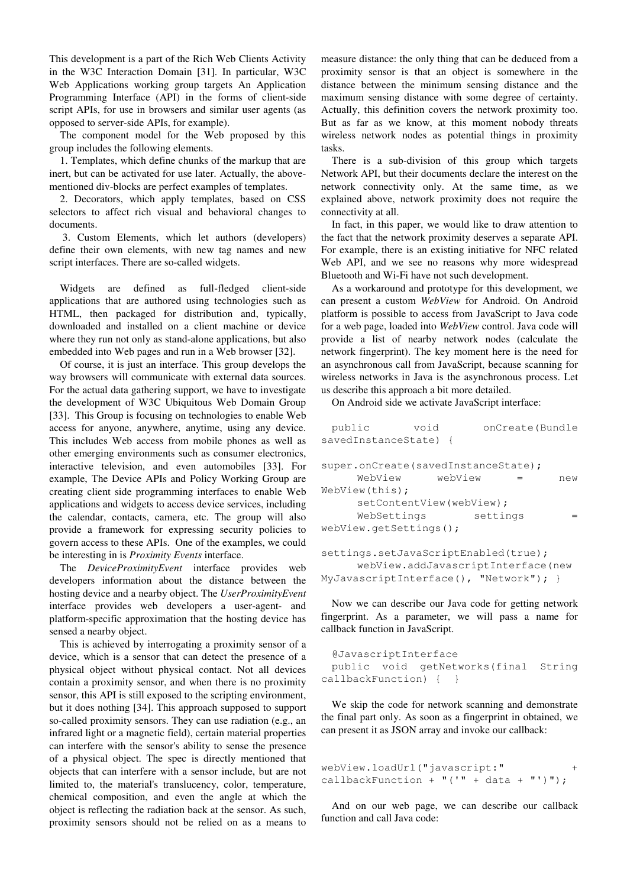This development is a part of the Rich Web Clients Activity in the W3C Interaction Domain [31]. In particular, W3C Web Applications working group targets An Application Programming Interface (API) in the forms of client-side script APIs, for use in browsers and similar user agents (as opposed to server-side APIs, for example).

The component model for the Web proposed by this group includes the following elements.

1. Templates, which define chunks of the markup that are inert, but can be activated for use later. Actually, the abovementioned div-blocks are perfect examples of templates.

2. Decorators, which apply templates, based on CSS selectors to affect rich visual and behavioral changes to documents.

 3. Custom Elements, which let authors (developers) define their own elements, with new tag names and new script interfaces. There are so-called widgets.

Widgets are defined as full-fledged client-side applications that are authored using technologies such as HTML, then packaged for distribution and, typically, downloaded and installed on a client machine or device where they run not only as stand-alone applications, but also embedded into Web pages and run in a Web browser [32].

Of course, it is just an interface. This group develops the way browsers will communicate with external data sources. For the actual data gathering support, we have to investigate the development of W3C Ubiquitous Web Domain Group [33]. This Group is focusing on technologies to enable Web access for anyone, anywhere, anytime, using any device. This includes Web access from mobile phones as well as other emerging environments such as consumer electronics, interactive television, and even automobiles [33]. For example, The Device APIs and Policy Working Group are creating client side programming interfaces to enable Web applications and widgets to access device services, including the calendar, contacts, camera, etc. The group will also provide a framework for expressing security policies to govern access to these APIs. One of the examples, we could be interesting in is *Proximity Events* interface.

The *DeviceProximityEvent* interface provides web developers information about the distance between the hosting device and a nearby object. The *UserProximityEvent* interface provides web developers a user-agent- and platform-specific approximation that the hosting device has sensed a nearby object.

This is achieved by interrogating a proximity sensor of a device, which is a sensor that can detect the presence of a physical object without physical contact. Not all devices contain a proximity sensor, and when there is no proximity sensor, this API is still exposed to the scripting environment, but it does nothing [34]. This approach supposed to support so-called proximity sensors. They can use radiation (e.g., an infrared light or a magnetic field), certain material properties can interfere with the sensor's ability to sense the presence of a physical object. The spec is directly mentioned that objects that can interfere with a sensor include, but are not limited to, the material's translucency, color, temperature, chemical composition, and even the angle at which the object is reflecting the radiation back at the sensor. As such, proximity sensors should not be relied on as a means to

measure distance: the only thing that can be deduced from a proximity sensor is that an object is somewhere in the distance between the minimum sensing distance and the maximum sensing distance with some degree of certainty. Actually, this definition covers the network proximity too. But as far as we know, at this moment nobody threats wireless network nodes as potential things in proximity tasks.

There is a sub-division of this group which targets Network API, but their documents declare the interest on the network connectivity only. At the same time, as we explained above, network proximity does not require the connectivity at all.

In fact, in this paper, we would like to draw attention to the fact that the network proximity deserves a separate API. For example, there is an existing initiative for NFC related Web API, and we see no reasons why more widespread Bluetooth and Wi-Fi have not such development.

As a workaround and prototype for this development, we can present a custom *WebView* for Android. On Android platform is possible to access from JavaScript to Java code for a web page, loaded into *WebView* control. Java code will provide a list of nearby network nodes (calculate the network fingerprint). The key moment here is the need for an asynchronous call from JavaScript, because scanning for wireless networks in Java is the asynchronous process. Let us describe this approach a bit more detailed.

On Android side we activate JavaScript interface:

| public                              | void    | onCreate (Bundle |     |
|-------------------------------------|---------|------------------|-----|
| savedInstanceState) {               |         |                  |     |
|                                     |         |                  |     |
| super.onCreate(savedInstanceState); |         |                  |     |
| WebView                             | webView | $=$              | new |
| WebView(this);                      |         |                  |     |
| setContentView(webView);            |         |                  |     |
| WebSettings                         |         | settings         |     |
| webView.getSettings();              |         |                  |     |
|                                     |         |                  |     |
|                                     |         |                  |     |

```
settings.setJavaScriptEnabled(true);
       webView.addJavascriptInterface(new 
MyJavascriptInterface(), "Network"); }
```
Now we can describe our Java code for getting network fingerprint. As a parameter, we will pass a name for callback function in JavaScript.

```
@JavascriptInterface 
 public void getNetworks(final String 
callbackFunction) { }
```
We skip the code for network scanning and demonstrate the final part only. As soon as a fingerprint in obtained, we can present it as JSON array and invoke our callback:

webView.loadUrl("javascript:" callbackFunction +  $"('" + data + "')")$ ;

And on our web page, we can describe our callback function and call Java code: